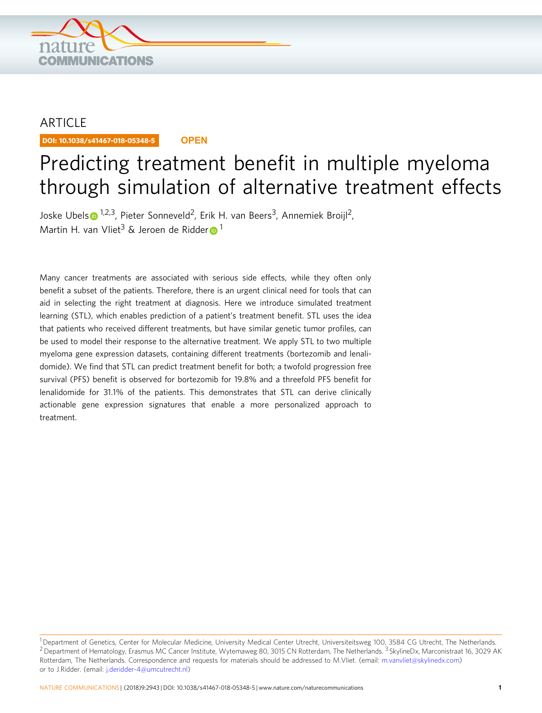

## ARTICLE

DOI: 10.1038/s41467-018-05348-5 **OPEN**

# Predicting treatment benefit in multiple myeloma through simulation of alternative treatment effects

Jo[s](http://orcid.org/0000-0002-1057-5225)ke Ubels  $\bullet$  <sup>1,2,3</sup>, Pieter Sonneveld<sup>2</sup>, Erik H. van Beers<sup>3</sup>, Annemiek Broijl<sup>2</sup>, Ma[r](http://orcid.org/0000-0002-0828-3477)tin H. van Vliet<sup>3</sup> & Jeroen de Ridder  $1$ 

Many cancer treatments are associated with serious side effects, while they often only benefit a subset of the patients. Therefore, there is an urgent clinical need for tools that can aid in selecting the right treatment at diagnosis. Here we introduce simulated treatment learning (STL), which enables prediction of a patient's treatment benefit. STL uses the idea that patients who received different treatments, but have similar genetic tumor profiles, can be used to model their response to the alternative treatment. We apply STL to two multiple myeloma gene expression datasets, containing different treatments (bortezomib and lenalidomide). We find that STL can predict treatment benefit for both; a twofold progression free survival (PFS) benefit is observed for bortezomib for 19.8% and a threefold PFS benefit for lenalidomide for 31.1% of the patients. This demonstrates that STL can derive clinically actionable gene expression signatures that enable a more personalized approach to treatment.

<sup>&</sup>lt;sup>1</sup> Department of Genetics, Center for Molecular Medicine, University Medical Center Utrecht, Universiteitsweg 100, 3584 CG Utrecht, The Netherlands. <sup>2</sup> Department of Hematology, Erasmus MC Cancer Institute, Wytemaweg 80, 3015 CN Rotterdam, The Netherlands. <sup>3</sup> SkylineDx, Marconistraat 16, 3029 AK Rotterdam, The Netherlands. Correspondence and requests for materials should be addressed to M.Vliet. (email: [m.vanvliet@skylinedx.com\)](mailto:m.vanvliet@skylinedx.com) or to J.Ridder. (email: [j.deridder-4@umcutrecht.nl](mailto:j.deridder-4@umcutrecht.nl))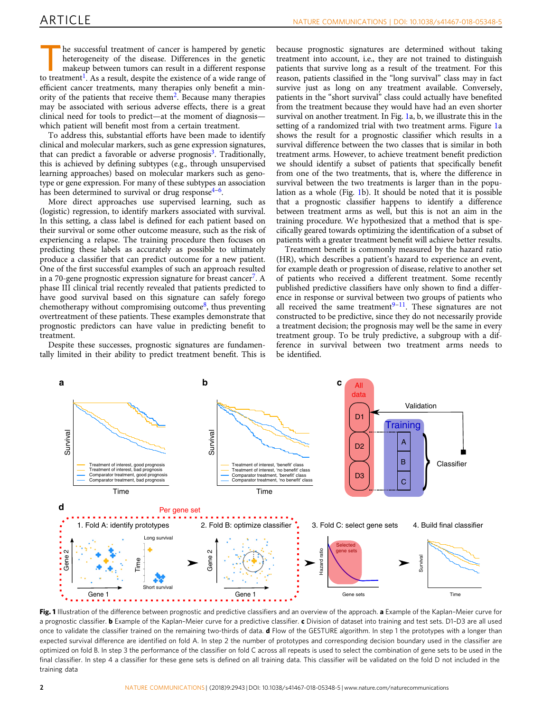<span id="page-1-0"></span>he successful treatment of cancer is hampered by genetic heterogeneity of the disease. Differences in the genetic makeup between tumors can result in a different response to treatment<sup>[1](#page-8-0)</sup>. As a result, despite the existence of a wide range of efficient cancer treatments, many therapies only benefit a min-ority of the patients that receive them<sup>[2](#page-8-0)</sup>. Because many therapies may be associated with serious adverse effects, there is a great clinical need for tools to predict—at the moment of diagnosis which patient will benefit most from a certain treatment.

To address this, substantial efforts have been made to identify clinical and molecular markers, such as gene expression signatures, that can predict a favorable or adverse prognosis<sup>3</sup>. Traditionally, this is achieved by defining subtypes (e.g., through unsupervised learning approaches) based on molecular markers such as genotype or gene expression. For many of these subtypes an association has been determined to survival or drug response $4-6$  $4-6$ .

More direct approaches use supervised learning, such as (logistic) regression, to identify markers associated with survival. In this setting, a class label is defined for each patient based on their survival or some other outcome measure, such as the risk of experiencing a relapse. The training procedure then focuses on predicting these labels as accurately as possible to ultimately produce a classifier that can predict outcome for a new patient. One of the first successful examples of such an approach resulted in a 70-gene prognostic expression signature for breast cancer<sup>7</sup>. A phase III clinical trial recently revealed that patients predicted to have good survival based on this signature can safely forego chemotherapy without compromising outcome[8,](#page-8-0) thus preventing overtreatment of these patients. These examples demonstrate that prognostic predictors can have value in predicting benefit to treatment.

Despite these successes, prognostic signatures are fundamentally limited in their ability to predict treatment benefit. This is because prognostic signatures are determined without taking treatment into account, i.e., they are not trained to distinguish patients that survive long as a result of the treatment. For this reason, patients classified in the "long survival" class may in fact survive just as long on any treatment available. Conversely, patients in the "short survival" class could actually have benefited from the treatment because they would have had an even shorter survival on another treatment. In Fig. 1a, b, we illustrate this in the setting of a randomized trial with two treatment arms. Figure 1a shows the result for a prognostic classifier which results in a survival difference between the two classes that is similar in both treatment arms. However, to achieve treatment benefit prediction we should identify a subset of patients that specifically benefit from one of the two treatments, that is, where the difference in survival between the two treatments is larger than in the population as a whole (Fig. 1b). It should be noted that it is possible that a prognostic classifier happens to identify a difference between treatment arms as well, but this is not an aim in the training procedure. We hypothesized that a method that is specifically geared towards optimizing the identification of a subset of patients with a greater treatment benefit will achieve better results.

Treatment benefit is commonly measured by the hazard ratio (HR), which describes a patient's hazard to experience an event, for example death or progression of disease, relative to another set of patients who received a different treatment. Some recently published predictive classifiers have only shown to find a difference in response or survival between two groups of patients who all received the same treatment $9-11$  $9-11$ . These signatures are not constructed to be predictive, since they do not necessarily provide a treatment decision; the prognosis may well be the same in every treatment group. To be truly predictive, a subgroup with a difference in survival between two treatment arms needs to be identified.



Fig. 1 Illustration of the difference between prognostic and predictive classifiers and an overview of the approach. a Example of the Kaplan-Meier curve for a prognostic classifier. **b** Example of the Kaplan-Meier curve for a predictive classifier. c Division of dataset into training and test sets. D1-D3 are all used once to validate the classifier trained on the remaining two-thirds of data. d Flow of the GESTURE algorithm. In step 1 the prototypes with a longer than expected survival difference are identified on fold A. In step 2 the number of prototypes and corresponding decision boundary used in the classifier are optimized on fold B. In step 3 the performance of the classifier on fold C across all repeats is used to select the combination of gene sets to be used in the final classifier. In step 4 a classifier for these gene sets is defined on all training data. This classifier will be validated on the fold D not included in the training data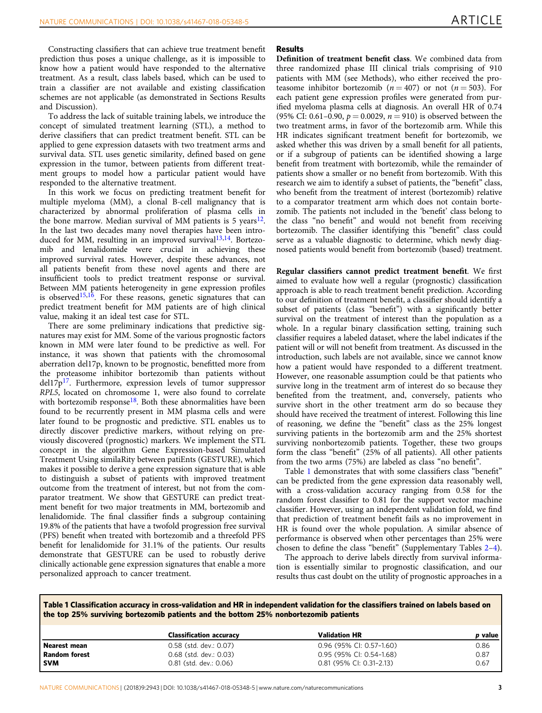Constructing classifiers that can achieve true treatment benefit prediction thus poses a unique challenge, as it is impossible to know how a patient would have responded to the alternative treatment. As a result, class labels based, which can be used to train a classifier are not available and existing classification schemes are not applicable (as demonstrated in Sections Results and Discussion).

To address the lack of suitable training labels, we introduce the concept of simulated treatment learning (STL), a method to derive classifiers that can predict treatment benefit. STL can be applied to gene expression datasets with two treatment arms and survival data. STL uses genetic similarity, defined based on gene expression in the tumor, between patients from different treatment groups to model how a particular patient would have responded to the alternative treatment.

In this work we focus on predicting treatment benefit for multiple myeloma (MM), a clonal B-cell malignancy that is characterized by abnormal proliferation of plasma cells in the bone marrow. Median survival of MM patients is 5 years<sup>12</sup>. In the last two decades many novel therapies have been introduced for MM, resulting in an improved survival<sup>13,14</sup>. Bortezomib and lenalidomide were crucial in achieving these improved survival rates. However, despite these advances, not all patients benefit from these novel agents and there are insufficient tools to predict treatment response or survival. Between MM patients heterogeneity in gene expression profiles is observed<sup>15,16</sup>. For these reasons, genetic signatures that can predict treatment benefit for MM patients are of high clinical value, making it an ideal test case for STL.

There are some preliminary indications that predictive signatures may exist for MM. Some of the various prognostic factors known in MM were later found to be predictive as well. For instance, it was shown that patients with the chromosomal aberration del17p, known to be prognostic, benefitted more from the proteasome inhibitor bortezomib than patients without  $del17p<sup>17</sup>$  $del17p<sup>17</sup>$  $del17p<sup>17</sup>$ . Furthermore, expression levels of tumor suppressor RPL5, located on chromosome 1, were also found to correlate with bortezomib response<sup>[18](#page-8-0)</sup>. Both these abnormalities have been found to be recurrently present in MM plasma cells and were later found to be prognostic and predictive. STL enables us to directly discover predictive markers, without relying on previously discovered (prognostic) markers. We implement the STL concept in the algorithm Gene Expression-based Simulated Treatment Using similaRity between patiEnts (GESTURE), which makes it possible to derive a gene expression signature that is able to distinguish a subset of patients with improved treatment outcome from the treatment of interest, but not from the comparator treatment. We show that GESTURE can predict treatment benefit for two major treatments in MM, bortezomib and lenalidomide. The final classifier finds a subgroup containing 19.8% of the patients that have a twofold progression free survival (PFS) benefit when treated with bortezomib and a threefold PFS benefit for lenalidomide for 31.1% of the patients. Our results demonstrate that GESTURE can be used to robustly derive clinically actionable gene expression signatures that enable a more personalized approach to cancer treatment.

## Results

Definition of treatment benefit class. We combined data from three randomized phase III clinical trials comprising of 910 patients with MM (see Methods), who either received the proteasome inhibitor bortezomib ( $n = 407$ ) or not ( $n = 503$ ). For each patient gene expression profiles were generated from purified myeloma plasma cells at diagnosis. An overall HR of 0.74 (95% CI: 0.61–0.90,  $p = 0.0029$ ,  $n = 910$ ) is observed between the two treatment arms, in favor of the bortezomib arm. While this HR indicates significant treatment benefit for bortezomib, we asked whether this was driven by a small benefit for all patients, or if a subgroup of patients can be identified showing a large benefit from treatment with bortezomib, while the remainder of patients show a smaller or no benefit from bortezomib. With this research we aim to identify a subset of patients, the "benefit" class, who benefit from the treatment of interest (bortezomib) relative to a comparator treatment arm which does not contain bortezomib. The patients not included in the 'benefit' class belong to the class "no benefit" and would not benefit from receiving bortezomib. The classifier identifying this "benefit" class could serve as a valuable diagnostic to determine, which newly diagnosed patients would benefit from bortezomib (based) treatment.

Regular classifiers cannot predict treatment benefit. We first aimed to evaluate how well a regular (prognostic) classification approach is able to reach treatment benefit prediction. According to our definition of treatment benefit, a classifier should identify a subset of patients (class "benefit") with a significantly better survival on the treatment of interest than the population as a whole. In a regular binary classification setting, training such classifier requires a labeled dataset, where the label indicates if the patient will or will not benefit from treatment. As discussed in the introduction, such labels are not available, since we cannot know how a patient would have responded to a different treatment. However, one reasonable assumption could be that patients who survive long in the treatment arm of interest do so because they benefited from the treatment, and, conversely, patients who survive short in the other treatment arm do so because they should have received the treatment of interest. Following this line of reasoning, we define the "benefit" class as the 25% longest surviving patients in the bortezomib arm and the 25% shortest surviving nonbortezomib patients. Together, these two groups form the class "benefit" (25% of all patients). All other patients from the two arms (75%) are labeled as class "no benefit".

Table 1 demonstrates that with some classifiers class "benefit" can be predicted from the gene expression data reasonably well, with a cross-validation accuracy ranging from 0.58 for the random forest classifier to 0.81 for the support vector machine classifier. However, using an independent validation fold, we find that prediction of treatment benefit fails as no improvement in HR is found over the whole population. A similar absence of performance is observed when other percentages than 25% were chosen to define the class "benefit" (Supplementary Tables 2–4).

The approach to derive labels directly from survival information is essentially similar to prognostic classification, and our results thus cast doubt on the utility of prognostic approaches in a

Table 1 Classification accuracy in cross-validation and HR in independent validation for the classifiers trained on labels based on the top 25% surviving bortezomib patients and the bottom 25% nonbortezomib patients

|                 | <b>Classification accuracy</b> | <b>Validation HR</b>     | p value |
|-----------------|--------------------------------|--------------------------|---------|
| Nearest mean    | 0.58 (std. dev.: 0.07)         | 0.96 (95% CI: 0.57-1.60) | 0.86    |
| l Random forest | 0.68 (std. dev.: 0.03)         | 0.95 (95% CI: 0.54-1.68) | 0.87    |
| l SVM           | 0.81 (std. dev.: 0.06)         | 0.81 (95% CI: 0.31-2.13) | 0.67    |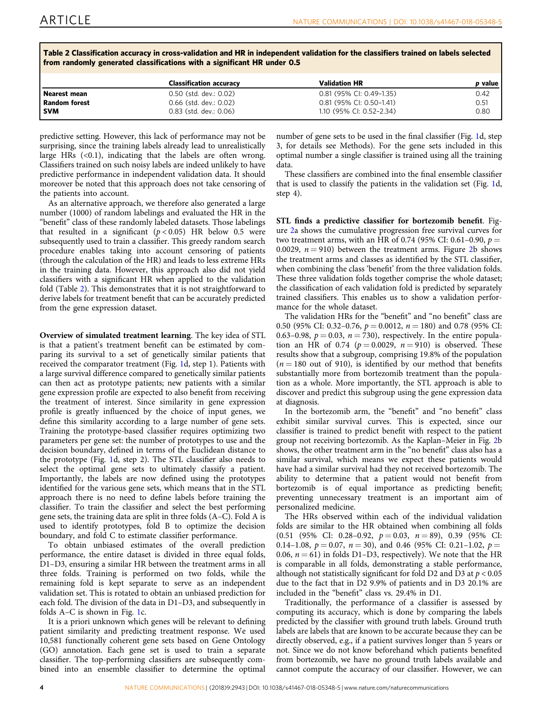| Table 2 Classification accuracy in cross-validation and HR in independent validation for the classifiers trained on labels selected |
|-------------------------------------------------------------------------------------------------------------------------------------|
| from randomly generated classifications with a significant HR under 0.5                                                             |

|                 | <b>Classification accuracy</b> | <b>Validation HR</b>     | <i>p</i> value |
|-----------------|--------------------------------|--------------------------|----------------|
| Nearest mean    | 0.50 (std. dev.: 0.02)         | 0.81 (95% CI: 0.49-1.35) | 0.42           |
| l Random forest | 0.66 (std. dev.: 0.02)         | 0.81 (95% CI: 0.50-1.41) | 0.51           |
| l svm           | $0.83$ (std. dev.: $0.06$ )    | 1.10 (95% CI: 0.52-2.34) | 0.80           |

predictive setting. However, this lack of performance may not be surprising, since the training labels already lead to unrealistically large HRs (<0.1), indicating that the labels are often wrong. Classifiers trained on such noisy labels are indeed unlikely to have predictive performance in independent validation data. It should moreover be noted that this approach does not take censoring of the patients into account.

As an alternative approach, we therefore also generated a large number (1000) of random labelings and evaluated the HR in the "benefit" class of these randomly labeled datasets. Those labelings that resulted in a significant ( $p < 0.05$ ) HR below 0.5 were subsequently used to train a classifier. This greedy random search procedure enables taking into account censoring of patients (through the calculation of the HR) and leads to less extreme HRs in the training data. However, this approach also did not yield classifiers with a significant HR when applied to the validation fold (Table 2). This demonstrates that it is not straightforward to derive labels for treatment benefit that can be accurately predicted from the gene expression dataset.

Overview of simulated treatment learning. The key idea of STL is that a patient's treatment benefit can be estimated by comparing its survival to a set of genetically similar patients that received the comparator treatment (Fig. [1](#page-1-0)d, step 1). Patients with a large survival difference compared to genetically similar patients can then act as prototype patients; new patients with a similar gene expression profile are expected to also benefit from receiving the treatment of interest. Since similarity in gene expression profile is greatly influenced by the choice of input genes, we define this similarity according to a large number of gene sets. Training the prototype-based classifier requires optimizing two parameters per gene set: the number of prototypes to use and the decision boundary, defined in terms of the Euclidean distance to the prototype (Fig. [1d](#page-1-0), step 2). The STL classifier also needs to select the optimal gene sets to ultimately classify a patient. Importantly, the labels are now defined using the prototypes identified for the various gene sets, which means that in the STL approach there is no need to define labels before training the classifier. To train the classifier and select the best performing gene sets, the training data are split in three folds (A–C). Fold A is used to identify prototypes, fold B to optimize the decision boundary, and fold C to estimate classifier performance.

To obtain unbiased estimates of the overall prediction performance, the entire dataset is divided in three equal folds, D1–D3, ensuring a similar HR between the treatment arms in all three folds. Training is performed on two folds, while the remaining fold is kept separate to serve as an independent validation set. This is rotated to obtain an unbiased prediction for each fold. The division of the data in D1–D3, and subsequently in folds A–C is shown in Fig. [1c](#page-1-0).

It is a priori unknown which genes will be relevant to defining patient similarity and predicting treatment response. We used 10,581 functionally coherent gene sets based on Gene Ontology (GO) annotation. Each gene set is used to train a separate classifier. The top-performing classifiers are subsequently combined into an ensemble classifier to determine the optimal

number of gene sets to be used in the final classifier (Fig. [1d](#page-1-0), step 3, for details see Methods). For the gene sets included in this optimal number a single classifier is trained using all the training data.

These classifiers are combined into the final ensemble classifier that is used to classify the patients in the validation set (Fig. [1d](#page-1-0), step 4).

STL finds a predictive classifier for bortezomib benefit. Figure [2a](#page-4-0) shows the cumulative progression free survival curves for two treatment arms, with an HR of 0.74 (95% CI: 0.61–0.90,  $p =$ 0.0029,  $n = 910$ ) between the treatment arms. Figure [2b](#page-4-0) shows the treatment arms and classes as identified by the STL classifier, when combining the class 'benefit' from the three validation folds. These three validation folds together comprise the whole dataset; the classification of each validation fold is predicted by separately trained classifiers. This enables us to show a validation performance for the whole dataset.

The validation HRs for the "benefit" and "no benefit" class are 0.50 (95% CI: 0.32–0.76,  $p = 0.0012$ ,  $n = 180$ ) and 0.78 (95% CI: 0.63–0.98,  $p = 0.03$ ,  $n = 730$ ), respectively. In the entire population an HR of 0.74 ( $p = 0.0029$ ,  $n = 910$ ) is observed. These results show that a subgroup, comprising 19.8% of the population  $(n = 180$  out of 910), is identified by our method that benefits substantially more from bortezomib treatment than the population as a whole. More importantly, the STL approach is able to discover and predict this subgroup using the gene expression data at diagnosis.

In the bortezomib arm, the "benefit" and "no benefit" class exhibit similar survival curves. This is expected, since our classifier is trained to predict benefit with respect to the patient group not receiving bortezomib. As the Kaplan–Meier in Fig. [2b](#page-4-0) shows, the other treatment arm in the "no benefit" class also has a similar survival, which means we expect these patients would have had a similar survival had they not received bortezomib. The ability to determine that a patient would not benefit from bortezomib is of equal importance as predicting benefit; preventing unnecessary treatment is an important aim of personalized medicine.

The HRs observed within each of the individual validation folds are similar to the HR obtained when combining all folds  $(0.51 \ (95\% \ \text{CI: } 0.28-0.92, \ p=0.03, \ n=89), \ 0.39 \ (95\% \ \text{CI: }$ 0.14–1.08,  $p = 0.07$ ,  $n = 30$ ), and 0.46 (95% CI: 0.21–1.02,  $p =$ 0.06,  $n = 61$ ) in folds D1–D3, respectively). We note that the HR is comparable in all folds, demonstrating a stable performance, although not statistically significant for fold D2 and D3 at  $p < 0.05$ due to the fact that in D2 9.9% of patients and in D3 20.1% are included in the "benefit" class vs. 29.4% in D1.

Traditionally, the performance of a classifier is assessed by computing its accuracy, which is done by comparing the labels predicted by the classifier with ground truth labels. Ground truth labels are labels that are known to be accurate because they can be directly observed, e.g., if a patient survives longer than 5 years or not. Since we do not know beforehand which patients benefited from bortezomib, we have no ground truth labels available and cannot compute the accuracy of our classifier. However, we can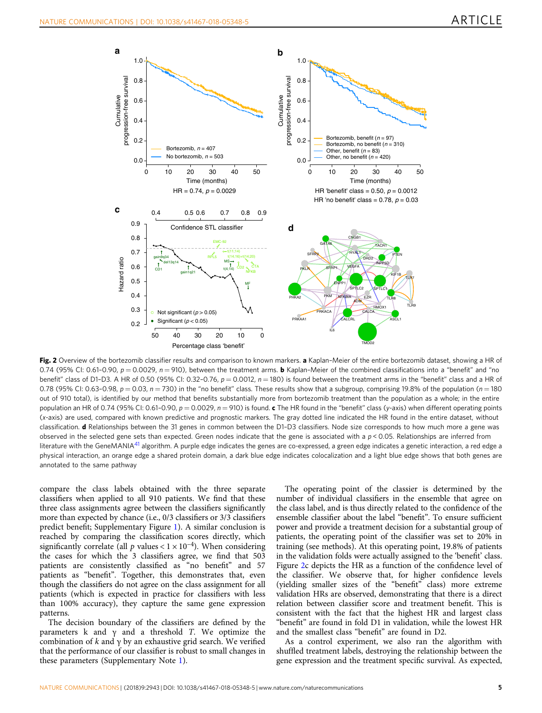<span id="page-4-0"></span>

Fig. 2 Overview of the bortezomib classifier results and comparison to known markers. a Kaplan-Meier of the entire bortezomib dataset, showing a HR of 0.74 (95% CI: 0.61-0.90,  $p = 0.0029$ ,  $n = 910$ ), between the treatment arms. **b** Kaplan-Meier of the combined classifications into a "benefit" and "no benefit" class of D1-D3. A HR of 0.50 (95% CI: 0.32-0.76,  $p = 0.0012$ ,  $n = 180$ ) is found between the treatment arms in the "benefit" class and a HR of 0.78 (95% CI: 0.63-0.98,  $p = 0.03$ ,  $n = 730$ ) in the "no benefit" class. These results show that a subgroup, comprising 19.8% of the population ( $n = 180$ out of 910 total), is identified by our method that benefits substantially more from bortezomib treatment than the population as a whole; in the entire population an HR of 0.74 (95% CI: 0.61-0.90,  $p = 0.0029$ ,  $n = 910$ ) is found. **c** The HR found in the "benefit" class (y-axis) when different operating points (x-axis) are used, compared with known predictive and prognostic markers. The gray dotted line indicated the HR found in the entire dataset, without classification. d Relationships between the 31 genes in common between the D1–D3 classifiers. Node size corresponds to how much more a gene was observed in the selected gene sets than expected. Green nodes indicate that the gene is associated with a  $p < 0.05$ . Relationships are inferred from literature with the GeneMANIA<sup>[41](#page-9-0)</sup> algorithm. A purple edge indicates the genes are co-expressed, a green edge indicates a genetic interaction, a red edge a physical interaction, an orange edge a shared protein domain, a dark blue edge indicates colocalization and a light blue edge shows that both genes are annotated to the same pathway

compare the class labels obtained with the three separate classifiers when applied to all 910 patients. We find that these three class assignments agree between the classifiers significantly more than expected by chance (i.e., 0/3 classifiers or 3/3 classifiers predict benefit; Supplementary Figure 1). A similar conclusion is reached by comparing the classification scores directly, which significantly correlate (all  $p$  values <  $1 \times 10^{-4}$ ). When considering the cases for which the 3 classifiers agree, we find that 503 patients are consistently classified as "no benefit" and 57 patients as "benefit". Together, this demonstrates that, even though the classifiers do not agree on the class assignment for all patients (which is expected in practice for classifiers with less than 100% accuracy), they capture the same gene expression patterns.

The decision boundary of the classifiers are defined by the parameters k and  $γ$  and a threshold T. We optimize the combination of k and  $\gamma$  by an exhaustive grid search. We verified that the performance of our classifier is robust to small changes in these parameters (Supplementary Note 1).

The operating point of the classier is determined by the number of individual classifiers in the ensemble that agree on the class label, and is thus directly related to the confidence of the ensemble classifier about the label "benefit". To ensure sufficient power and provide a treatment decision for a substantial group of patients, the operating point of the classifier was set to 20% in training (see methods). At this operating point, 19.8% of patients in the validation folds were actually assigned to the 'benefit' class. Figure 2c depicts the HR as a function of the confidence level of the classifier. We observe that, for higher confidence levels (yielding smaller sizes of the "benefit" class) more extreme validation HRs are observed, demonstrating that there is a direct relation between classifier score and treatment benefit. This is consistent with the fact that the highest HR and largest class "benefit" are found in fold D1 in validation, while the lowest HR and the smallest class "benefit" are found in D2.

As a control experiment, we also ran the algorithm with shuffled treatment labels, destroying the relationship between the gene expression and the treatment specific survival. As expected,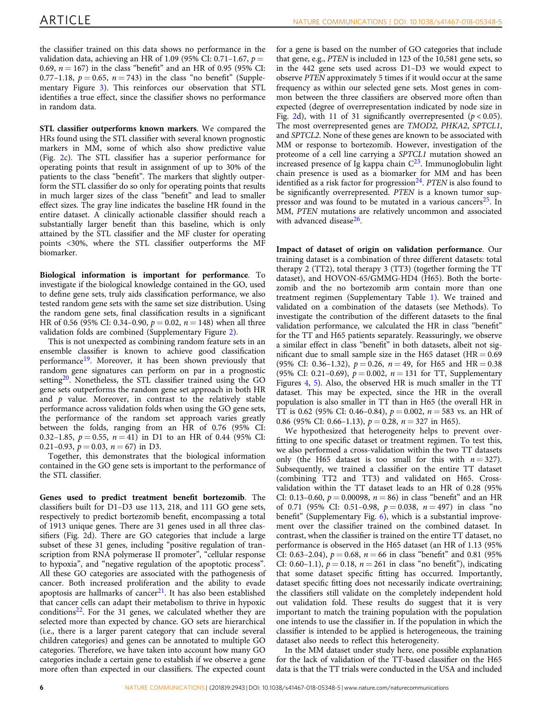the classifier trained on this data shows no performance in the validation data, achieving an HR of 1.09 (95% CI: 0.71–1.67,  $p =$ 0.69,  $n = 167$ ) in the class "benefit" and an HR of 0.95 (95% CI: 0.77–1.18,  $p = 0.65$ ,  $n = 743$ ) in the class "no benefit" (Supplementary Figure 3). This reinforces our observation that STL identifies a true effect, since the classifier shows no performance in random data.

STL classifier outperforms known markers. We compared the HRs found using the STL classifier with several known prognostic markers in MM, some of which also show predictive value (Fig. [2](#page-4-0)c). The STL classifier has a superior performance for operating points that result in assignment of up to 30% of the patients to the class "benefit". The markers that slightly outperform the STL classifier do so only for operating points that results in much larger sizes of the class "benefit" and lead to smaller effect sizes. The gray line indicates the baseline HR found in the entire dataset. A clinically actionable classifier should reach a substantially larger benefit than this baseline, which is only attained by the STL classifier and the MF cluster for operating points <30%, where the STL classifier outperforms the MF biomarker.

Biological information is important for performance. To investigate if the biological knowledge contained in the GO, used to define gene sets, truly aids classification performance, we also tested random gene sets with the same set size distribution. Using the random gene sets, final classification results in a significant HR of 0.56 (95% CI: 0.34–0.90,  $p = 0.02$ ,  $n = 148$ ) when all three validation folds are combined (Supplementary Figure 2).

This is not unexpected as combining random feature sets in an ensemble classifier is known to achieve good classification performance<sup>19</sup>. Moreover, it has been shown previously that random gene signatures can perform on par in a prognostic setting $20$ . Nonetheless, the STL classifier trained using the GO gene sets outperforms the random gene set approach in both HR and  $p$  value. Moreover, in contrast to the relatively stable performance across validation folds when using the GO gene sets, the performance of the random set approach varies greatly between the folds, ranging from an HR of 0.76 (95% CI: 0.32–1.85,  $p = 0.55$ ,  $n = 41$ ) in D1 to an HR of 0.44 (95% CI: 0.21–0.93,  $p = 0.03$ ,  $n = 67$ ) in D3.

Together, this demonstrates that the biological information contained in the GO gene sets is important to the performance of the STL classifier.

Genes used to predict treatment benefit bortezomib. The classifiers built for D1–D3 use 113, 218, and 111 GO gene sets, respectively to predict bortezomib benefit, encompassing a total of 1913 unique genes. There are 31 genes used in all three classifiers (Fig. [2d](#page-4-0)). There are GO categories that include a large subset of these 31 genes, including "positive regulation of transcription from RNA polymerase II promoter", "cellular response to hypoxia", and "negative regulation of the apoptotic process". All these GO categories are associated with the pathogenesis of cancer. Both increased proliferation and the ability to evade apoptosis are hallmarks of cancer<sup>21</sup>. It has also been established that cancer cells can adapt their metabolism to thrive in hypoxic conditions<sup>22</sup>. For the 31 genes, we calculated whether they are selected more than expected by chance. GO sets are hierarchical (i.e., there is a larger parent category that can include several children categories) and genes can be annotated to multiple GO categories. Therefore, we have taken into account how many GO categories include a certain gene to establish if we observe a gene more often than expected in our classifiers. The expected count

for a gene is based on the number of GO categories that include that gene, e.g., PTEN is included in 123 of the 10,581 gene sets, so in the 442 gene sets used across D1–D3 we would expect to observe PTEN approximately 5 times if it would occur at the same frequency as within our selected gene sets. Most genes in common between the three classifiers are observed more often than expected (degree of overrepresentation indicated by node size in Fig. [2](#page-4-0)d), with 11 of 31 significantly overrepresented ( $p < 0.05$ ). The most overrepresented genes are TMOD2, PHKA2, SPTCL1, and SPTCL2. None of these genes are known to be associated with MM or response to bortezomib. However, investigation of the proteome of a cell line carrying a SPTCL1 mutation showed an increased presence of Ig kappa chain  $C^{23}$  $C^{23}$  $C^{23}$ . Immunoglobulin light chain presence is used as a biomarker for MM and has been identified as a risk factor for progression<sup>24</sup>. PTEN is also found to be significantly overrepresented. PTEN is a known tumor suppressor and was found to be mutated in a various cancers<sup>25</sup>. In MM, PTEN mutations are relatively uncommon and associated with advanced disease<sup>26</sup>.

Impact of dataset of origin on validation performance. Our training dataset is a combination of three different datasets: total therapy 2 (TT2), total therapy 3 (TT3) (together forming the TT dataset), and HOVON-65/GMMG-HD4 (H65). Both the bortezomib and the no bortezomib arm contain more than one treatment regimen (Supplementary Table 1). We trained and validated on a combination of the datasets (see Methods). To investigate the contribution of the different datasets to the final validation performance, we calculated the HR in class "benefit" for the TT and H65 patients separately. Reassuringly, we observe a similar effect in class "benefit" in both datasets, albeit not significant due to small sample size in the H65 dataset  $(HR = 0.69)$ (95% CI: 0.36–1.32),  $p = 0.26$ ,  $n = 49$ , for H65 and HR = 0.38 (95% CI: 0.21-0.69),  $p = 0.002$ ,  $n = 131$  for TT, Supplementary Figures 4, 5). Also, the observed HR is much smaller in the TT dataset. This may be expected, since the HR in the overall population is also smaller in TT than in H65 (the overall HR in TT is 0.62 (95% CI: 0.46–0.84),  $p = 0.002$ ,  $n = 583$  vs. an HR of 0.86 (95% CI: 0.66–1.13),  $p = 0.28$ ,  $n = 327$  in H65).

We hypothesized that heterogeneity helps to prevent overfitting to one specific dataset or treatment regimen. To test this, we also performed a cross-validation within the two TT datasets only (the H65 dataset is too small for this with  $n = 327$ ). Subsequently, we trained a classifier on the entire TT dataset (combining TT2 and TT3) and validated on H65. Crossvalidation within the TT dataset leads to an HR of 0.28 (95% CI: 0.13–0.60,  $p = 0.00098$ ,  $n = 86$ ) in class "benefit" and an HR of 0.71 (95% CI: 0.51-0.98,  $p = 0.038$ ,  $n = 497$ ) in class "no benefit" (Supplementary Fig.  $\overline{6}$ ), which is a substantial improvement over the classifier trained on the combined dataset. In contrast, when the classifier is trained on the entire TT dataset, no performance is observed in the H65 dataset (an HR of 1.13 (95% CI: 0.63-2.04),  $p = 0.68$ ,  $n = 66$  in class "benefit" and 0.81 (95%) CI: 0.60–1.1),  $p = 0.18$ ,  $n = 261$  in class "no benefit"), indicating that some dataset specific fitting has occurred. Importantly, dataset specific fitting does not necessarily indicate overtraining; the classifiers still validate on the completely independent hold out validation fold. These results do suggest that it is very important to match the training population with the population one intends to use the classifier in. If the population in which the classifier is intended to be applied is heterogeneous, the training dataset also needs to reflect this heterogeneity.

In the MM dataset under study here, one possible explanation for the lack of validation of the TT-based classifier on the H65 data is that the TT trials were conducted in the USA and included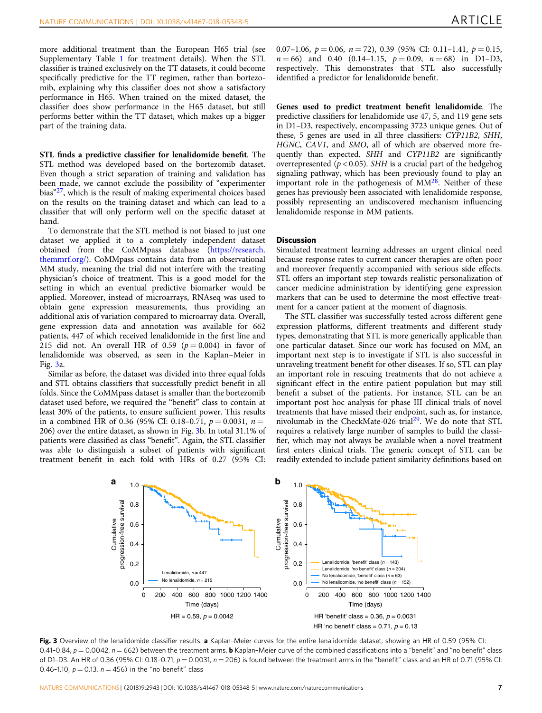more additional treatment than the European H65 trial (see Supplementary Table 1 for treatment details). When the STL classifier is trained exclusively on the TT datasets, it could become specifically predictive for the TT regimen, rather than bortezomib, explaining why this classifier does not show a satisfactory performance in H65. When trained on the mixed dataset, the classifier does show performance in the H65 dataset, but still performs better within the TT dataset, which makes up a bigger part of the training data.

STL finds a predictive classifier for lenalidomide benefit. The STL method was developed based on the bortezomib dataset. Even though a strict separation of training and validation has been made, we cannot exclude the possibility of "experimenter bias"[27](#page-8-0), which is the result of making experimental choices based on the results on the training dataset and which can lead to a classifier that will only perform well on the specific dataset at hand.

To demonstrate that the STL method is not biased to just one dataset we applied it to a completely independent dataset obtained from the CoMMpass database ([https://research.](https://research.themmrf.org/) [themmrf.org/\)](https://research.themmrf.org/). CoMMpass contains data from an observational MM study, meaning the trial did not interfere with the treating physician's choice of treatment. This is a good model for the setting in which an eventual predictive biomarker would be applied. Moreover, instead of microarrays, RNAseq was used to obtain gene expression measurements, thus providing an additional axis of variation compared to microarray data. Overall, gene expression data and annotation was available for 662 patients, 447 of which received lenalidomide in the first line and 215 did not. An overall HR of 0.59 ( $p = 0.004$ ) in favor of lenalidomide was observed, as seen in the Kaplan–Meier in Fig. 3a.

Similar as before, the dataset was divided into three equal folds and STL obtains classifiers that successfully predict benefit in all folds. Since the CoMMpass dataset is smaller than the bortezomib dataset used before, we required the "benefit" class to contain at least 30% of the patients, to ensure sufficient power. This results in a combined HR of 0.36 (95% CI: 0.18–0.71,  $p = 0.0031$ ,  $n =$ 206) over the entire dataset, as shown in Fig. 3b. In total 31.1% of patients were classified as class "benefit". Again, the STL classifier was able to distinguish a subset of patients with significant treatment benefit in each fold with HRs of 0.27 (95% CI:

0.07–1.06,  $p = 0.06$ ,  $n = 72$ ), 0.39 (95% CI: 0.11–1.41,  $p = 0.15$ ,  $n = 66$ ) and 0.40 (0.14–1.15,  $p = 0.09$ ,  $n = 68$ ) in D1–D3, respectively. This demonstrates that STL also successfully identified a predictor for lenalidomide benefit.

Genes used to predict treatment benefit lenalidomide. The predictive classifiers for lenalidomide use 47, 5, and 119 gene sets in D1–D3, respectively, encompassing 3723 unique genes. Out of these, 5 genes are used in all three classifiers: CYP11B2, SHH, HGNC, CAV1, and SMO, all of which are observed more frequently than expected. SHH and CYP11B2 are significantly overrepresented ( $p < 0.05$ ). SHH is a crucial part of the hedgehog signaling pathway, which has been previously found to play an important role in the pathogenesis of  $MM^{28}$ . Neither of these genes has previously been associated with lenalidomide response, possibly representing an undiscovered mechanism influencing lenalidomide response in MM patients.

### **Discussion**

Simulated treatment learning addresses an urgent clinical need because response rates to current cancer therapies are often poor and moreover frequently accompanied with serious side effects. STL offers an important step towards realistic personalization of cancer medicine administration by identifying gene expression markers that can be used to determine the most effective treatment for a cancer patient at the moment of diagnosis.

The STL classifier was successfully tested across different gene expression platforms, different treatments and different study types, demonstrating that STL is more generically applicable than one particular dataset. Since our work has focused on MM, an important next step is to investigate if STL is also successful in unraveling treatment benefit for other diseases. If so, STL can play an important role in rescuing treatments that do not achieve a significant effect in the entire patient population but may still benefit a subset of the patients. For instance, STL can be an important post hoc analysis for phase III clinical trials of novel treatments that have missed their endpoint, such as, for instance, nivolumab in the CheckMate-026 trial<sup>[29](#page-8-0)</sup>. We do note that STL requires a relatively large number of samples to build the classifier, which may not always be available when a novel treatment first enters clinical trials. The generic concept of STL can be readily extended to include patient similarity definitions based on



Fig. 3 Overview of the lenalidomide classifier results. a Kaplan-Meier curves for the entire lenalidomide dataset, showing an HR of 0.59 (95% CI: 0.41-0.84,  $p = 0.0042$ ,  $n = 662$ ) between the treatment arms. **b** Kaplan-Meier curve of the combined classifications into a "benefit" and "no benefit" class of D1-D3. An HR of 0.36 (95% CI: 0.18-0.71,  $p = 0.0031$ ,  $n = 206$ ) is found between the treatment arms in the "benefit" class and an HR of 0.71 (95% CI: 0.46-1.10,  $p = 0.13$ ,  $n = 456$ ) in the "no benefit" class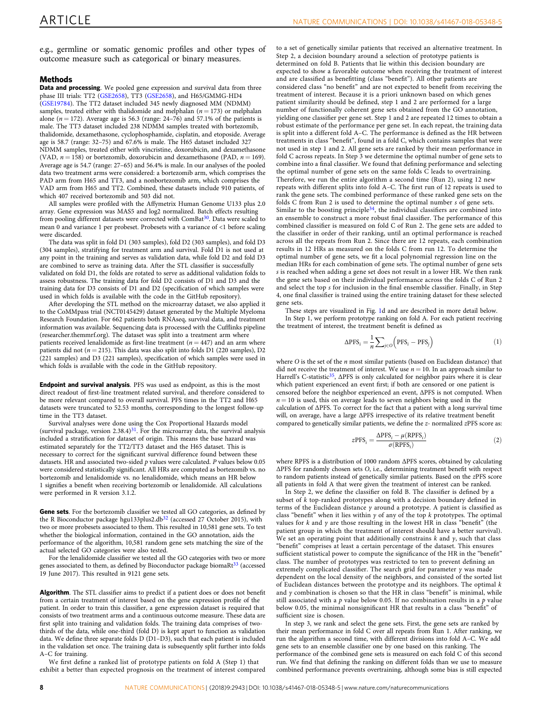e.g., germline or somatic genomic profiles and other types of outcome measure such as categorical or binary measures.

#### Methods

Data and processing. We pooled gene expression and survival data from three phase III trials: TT2 ([GSE2658](https://www.ncbi.nlm.nih.gov/geo/query/acc.cgi?acc=GSE2658)), TT3 (GSE2658), and H65/GMMG-HD4 [\(GSE19784](https://www.ncbi.nlm.nih.gov/geo/query/acc.cgi?acc=GSE19784)). The TT2 dataset included 345 newly diagnosed MM (NDMM) samples, treated either with thalidomide and melphalan ( $n = 173$ ) or melphalan alone ( $n = 172$ ). Average age is 56.3 (range: 24–76) and 57.1% of the patients is male. The TT3 dataset included 238 NDMM samples treated with bortezomib, thalidomide, dexamethasone, cyclophosphamide, cisplatin, and etoposide. Average age is 58.7 (range: 32–75) and 67.6% is male. The H65 dataset included 327 NDMM samples, treated either with vincristine, doxorubicin, and dexamethasone (VAD,  $n = 158$ ) or bortezomib, doxorubicin and dexamethasone (PAD,  $n = 169$ ). Average age is 54.7 (range: 27–65) and 56.4% is male. In our analyses of the pooled data two treatment arms were considered: a bortezomib arm, which comprises the PAD arm from H65 and TT3, and a nonbortezomib arm, which comprises the VAD arm from H65 and TT2. Combined, these datasets include 910 patients, of which 407 received bortezomib and 503 did not.

All samples were profiled with the Affymetrix Human Genome U133 plus 2.0 array. Gene expression was MAS5 and log2 normalized. Batch effects resulting from pooling different datasets were corrected with ComBat<sup>30</sup>. Data were scaled to mean 0 and variance 1 per probeset. Probesets with a variance of <1 before scaling were discarded.

The data was split in fold D1 (303 samples), fold D2 (303 samples), and fold D3 (304 samples), stratifying for treatment arm and survival. Fold D1 is not used at any point in the training and serves as validation data, while fold D2 and fold D3 are combined to serve as training data. After the STL classifier is successfully validated on fold D1, the folds are rotated to serve as additional validation folds to assess robustness. The training data for fold D2 consists of D1 and D3 and the training data for D3 consists of D1 and D2 (specification of which samples were used in which folds is available with the code in the GitHub repository).

After developing the STL method on the microarray dataset, we also applied it to the CoMMpass trial (NCT0145429) dataset generated by the Multiple Myeloma Research Foundation. For 662 patients both RNAseq, survival data, and treatment information was available. Sequencing data is processed with the Cufflinks pipeline (researcher.themmrf.org). The dataset was split into a treatment arm where patients received lenalidomide as first-line treatment ( $n = 447$ ) and an arm where patients did not ( $n = 215$ ). This data was also split into folds D1 (220 samples), D2 (221 samples) and D3 (221 samples), specification of which samples were used in which folds is available with the code in the GitHub repository.

Endpoint and survival analysis. PFS was used as endpoint, as this is the most direct readout of first-line treatment related survival, and therefore considered to be more relevant compared to overall survival. PFS times in the TT2 and H65 datasets were truncated to 52.53 months, corresponding to the longest follow-up time in the TT3 dataset.

Survival analyses were done using the Cox Proportional Hazards model (survival package, version  $2.38.4$ )<sup>31</sup>. For the microarray data, the survival analysis included a stratification for dataset of origin. This means the base hazard was estimated separately for the TT2/TT3 dataset and the H65 dataset. This is necessary to correct for the significant survival difference found between these datasets. HR and associated two-sided  $p$  values were calculated.  $P$  values below 0.05 were considered statistically significant. All HRs are computed as bortezomib vs. no bortezomib and lenalidomide vs. no lenalidomide, which means an HR below 1 signifies a benefit when receiving bortezomib or lenalidomide. All calculations were performed in R version 3.1.2.

Gene sets. For the bortezomib classifier we tested all GO categories, as defined by the R Bioconductor package hgu133plus2.db<sup>[32](#page-9-0)</sup> (accessed 27 October 2015), with two or more probesets associated to them. This resulted in 10,581 gene sets. To test whether the biological information, contained in the GO annotation, aids the performance of the algorithm, 10,581 random gene sets matching the size of the actual selected GO categories were also tested.

For the lenalidomide classifier we tested all the GO categories with two or more genes associated to them, as defined by Bioconductor package biomaRt<sup>[33](#page-9-0)</sup> (accessed 19 June 2017). This resulted in 9121 gene sets.

Algorithm. The STL classifier aims to predict if a patient does or does not benefit from a certain treatment of interest based on the gene expression profile of the patient. In order to train this classifier, a gene expression dataset is required that consists of two treatment arms and a continuous outcome measure. These data are first split into training and validation folds. The training data comprises of twothirds of the data, while one-third (fold D) is kept apart to function as validation data. We define three separate folds D (D1–D3), such that each patient is included in the validation set once. The training data is subsequently split further into folds A–C for training.

We first define a ranked list of prototype patients on fold A (Step 1) that exhibit a better than expected prognosis on the treatment of interest compared to a set of genetically similar patients that received an alternative treatment. In Step 2, a decision boundary around a selection of prototype patients is determined on fold B. Patients that lie within this decision boundary are expected to show a favorable outcome when receiving the treatment of interest and are classified as benefitting (class "benefit"). All other patients are considered class "no benefit" and are not expected to benefit from receiving the treatment of interest. Because it is a priori unknown based on which genes patient similarity should be defined, step 1 and 2 are performed for a large number of functionally coherent gene sets obtained from the GO annotation, yielding one classifier per gene set. Step 1 and 2 are repeated 12 times to obtain a robust estimate of the performance per gene set. In each repeat, the training data is split into a different fold A–C. The performance is defined as the HR between treatments in class "benefit", found in a fold C, which contains samples that were not used in step 1 and 2. All gene sets are ranked by their mean performance in fold C across repeats. In Step 3 we determine the optimal number of gene sets to combine into a final classifier. We found that defining performance and selecting the optimal number of gene sets on the same folds C leads to overtraining. Therefore, we run the entire algorithm a second time (Run 2), using 12 new repeats with different splits into fold A–C. The first run of 12 repeats is used to rank the gene sets. The combined performance of these ranked gene sets on the folds C from Run 2 is used to determine the optimal number s of gene sets. Similar to the boosting principle<sup>34</sup>, the individual classifiers are combined into an ensemble to construct a more robust final classifier. The performance of this combined classifier is measured on fold C of Run 2. The gene sets are added to the classifier in order of their ranking, until an optimal performance is reached across all the repeats from Run 2. Since there are 12 repeats, each combination results in 12 HRs as measured on the folds C from run 12. To determine the optimal number of gene sets, we fit a local polynomial regression line on the median HRs for each combination of gene sets. The optimal number of gene sets s is reached when adding a gene set does not result in a lower HR. We then rank the gene sets based on their individual performance across the folds C of Run 2 and select the top s for inclusion in the final ensemble classifier. Finally, in Step 4, one final classifier is trained using the entire training dataset for these selected gene sets.

These steps are visualized in Fig. [1d](#page-1-0) and are described in more detail below. In Step 1, we perform prototype ranking on fold A. For each patient receiving the treatment of interest, the treatment benefit is defined as

$$
\Delta PFS_i = \frac{1}{n} \sum_{j \in O} \left( PFS_i - PFS_j \right) \tag{1}
$$

where  $O$  is the set of the  $n$  most similar patients (based on Euclidean distance) that did not receive the treatment of interest. We use  $n = 10$ . In an approach similar to Harrell's C-statistic<sup>35</sup>,  $\Delta$ PFS is only calculated for neighbor pairs where it is clear which patient experienced an event first; if both are censored or one patient is censored before the neighbor experienced an event, ΔPFS is not computed. When  $n = 10$  is used, this on average leads to seven neighbors being used in the calculation of ΔPFS. To correct for the fact that a patient with a long survival time will, on average, have a large ΔPFS irrespective of its relative treatment benefit compared to genetically similar patients, we define the z- normalized zPFS score as:

$$
zPFS_i = \frac{\Delta PFS_i - \mu(\text{RPFS}_i)}{\sigma(\text{RPFS}_i)}
$$
(2)

where RPFS is a distribution of 1000 random ΔPFS scores, obtained by calculating ΔPFS for randomly chosen sets O, i.e., determining treatment benefit with respect to random patients instead of genetically similar patients. Based on the zPFS score all patients in fold A that were given the treatment of interest can be ranked.

In Step 2, we define the classifier on fold B. The classifier is defined by a subset of k top-ranked prototypes along with a decision boundary defined in terms of the Euclidean distance  $\gamma$  around a prototype. A patient is classified as class "benefit" when it lies within  $\gamma$  of any of the top k prototypes. The optimal values for k and  $\gamma$  are those resulting in the lowest HR in class "benefit" (the patient group in which the treatment of interest should have a better survival). We set an operating point that additionally constrains  $k$  and  $\gamma$ , such that class "benefit" comprises at least a certain percentage of the dataset. This ensures sufficient statistical power to compute the significance of the HR in the "benefit" class. The number of prototypes was restricted to ten to prevent defining an extremely complicated classifier. The search grid for parameter  $\gamma$  was made dependent on the local density of the neighbors, and consisted of the sorted list of Euclidean distances between the prototype and its neighbors. The optimal k and  $\gamma$  combination is chosen so that the HR in class "benefit" is minimal, while still associated with a  $p$  value below 0.05. If no combination results in a  $p$  value below 0.05, the minimal nonsignificant HR that results in a class "benefit" of sufficient size is chosen.

In step 3, we rank and select the gene sets. First, the gene sets are ranked by their mean performance in fold C over all repeats from Run 1. After ranking, we run the algorithm a second time, with different divisions into fold A–C. We add gene sets to an ensemble classifier one by one based on this ranking. The performance of the combined gene sets is measured on each fold C of this second run. We find that defining the ranking on different folds than we use to measure combined performance prevents overtraining, although some bias is still expected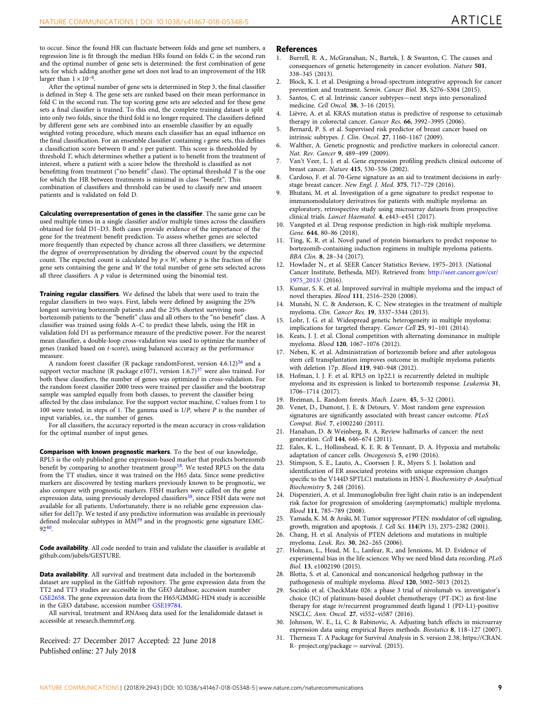<span id="page-8-0"></span>to occur. Since the found HR can fluctuate between folds and gene set numbers, a regression line is fit through the median HRs found on folds C in the second run and the optimal number of gene sets is determined: the first combination of gene sets for which adding another gene set does not lead to an improvement of the HR larger than  $1 \times 10^{-4}$ 

After the optimal number of gene sets is determined in Step 3, the final classifier is defined in Step 4. The gene sets are ranked based on their mean performance in fold C in the second run. The top scoring gene sets are selected and for these gene sets a final classifier is trained. To this end, the complete training dataset is split into only two folds, since the third fold is no longer required. The classifiers defined by different gene sets are combined into an ensemble classifier by an equally weighted voting procedure, which means each classifier has an equal influence on the final classification. For an ensemble classifier containing s gene sets, this defines a classification score between 0 and s per patient. This score is thresholded by threshold T, which determines whether a patient is to benefit from the treatment of interest, where a patient with a score below the threshold is classified as not benefitting from treatment ("no benefit" class). The optimal threshold T is the one for which the HR between treatments is minimal in class "benefit". This combination of classifiers and threshold can be used to classify new and unseen patients and is validated on fold D.

Calculating overrepresentation of genes in the classifier. The same gene can be used multiple times in a single classifier and/or multiple times across the classifiers obtained for fold D1–D3. Both cases provide evidence of the importance of the gene for the treatment benefit prediction. To assess whether genes are selected more frequently than expected by chance across all three classifiers, we determine the degree of overrepresentation by dividing the observed count by the expected count. The expected count is calculated by  $p \times W$ , where p is the fraction of the gene sets containing the gene and W the total number of gene sets selected across all three classifiers. A  $p$  value is determined using the binomial test.

Training regular classifiers. We defined the labels that were used to train the regular classifiers in two ways. First, labels were defined by assigning the 25% longest surviving bortezomib patients and the 25% shortest surviving nonbortezomib patients to the "benefit" class and all others to the "no benefit" class. A classifier was trained using folds A–C to predict these labels, using the HR in validation fold D1 as performance measure of the predictive power. For the nearest mean classifier, a double-loop cross-validation was used to optimize the number of genes (ranked based on t-score), using balanced accuracy as the performance measure.

A random forest classifier (R package randomForest, version  $4.6.12$ ) $36$  and a support vector machine (R package e1071, version  $1.6.7$ ) $^{37}$  $^{37}$  $^{37}$  were also trained. For both these classifiers, the number of genes was optimized in cross-validation. For the random forest classifier 2000 trees were trained per classifier and the bootstrap sample was sampled equally from both classes, to prevent the classifier being affected by the class imbalance. For the support vector machine, C values from 1 to 100 were tested, in steps of 1. The gamma used is 1/P, where P is the number of input variables, i.e., the number of genes.

For all classifiers, the accuracy reported is the mean accuracy in cross-validation for the optimal number of input genes.

Comparison with known prognostic markers. To the best of our knowledge, RPL5 is the only published gene expression-based marker that predicts bortezomib benefit by comparing to another treatment group<sup>18</sup>. We tested RPL5 on the data from the TT studies, since it was trained on the H65 data. Since some predictive markers are discovered by testing markers previously known to be prognostic, we also compare with prognostic markers. FISH markers were called on the gene expression data, using previously developed classifiers<sup>38</sup>, since FISH data were not available for all patients. Unfortunately, there is no reliable gene expression classifier for del17p. We tested if any predictive information was available in previously defined molecular subtypes in  $\overline{MM}^{39}$  and in the prognostic gene signature EMC-92[40](#page-9-0).

Code availability. All code needed to train and validate the classifier is available at github.com/jubels/GESTURE.

Data availability. All survival and treatment data included in the bortezomib dataset are supplied in the GitHub repository. The gene expression data from the TT2 and TT3 studies are accessible in the GEO database, accession number [GSE2658.](https://www.ncbi.nlm.nih.gov/geo/query/acc.cgi?acc=GSE2658) The gene expression data from the H65/GMMG-HD4 study is accessible in the GEO database, accession number [GSE19784](https://www.ncbi.nlm.nih.gov/geo/query/acc.cgi?acc=GSE19784).

All survival, treatment and RNAseq data used for the lenalidomide dataset is accessible at research.themmrf.org.

Received: 27 December 2017 Accepted: 22 June 2018 Published online: 27 July 2018

#### References

- 1. Burrell, R. A., McGranahan, N., Bartek, J. & Swanton, C. The causes and consequences of genetic heterogeneity in cancer evolution. Nature 501, 338–345 (2013).
- 2. Block, K. I. et al. Designing a broad-spectrum integrative approach for cancer prevention and treatment. Semin. Cancer Biol. 35, S276–S304 (2015).
- 3. Santos, C. et al. Intrinsic cancer subtypes—next steps into personalized medicine. Cell Oncol. 38, 3–16 (2015).
- 4. Lièvre, A. et al. KRAS mutation status is predictive of response to cetuximab therapy in colorectal cancer. Cancer Res. 66, 3992–3995 (2006).
- 5. Bernard, P. S. et al. Supervised risk predictor of breast cancer based on intrinsic subtypes. J. Clin. Oncol. 27, 1160–1167 (2009).
- 6. Walther, A. Genetic prognostic and predictive markers in colorectal cancer. Nat. Rev. Cancer 9, 489–499 (2009).
- 7. Van't Veer, L. J. et al. Gene expression profiling predicts clinical outcome of breast cancer. Nature 415, 530–536 (2002).
- 8. Cardoso, F. et al. 70-Gene signature as an aid to treatment decisions in earlystage breast cancer. New Engl. J. Med. 375, 717–729 (2016).
- 9. Bhutani, M. et al. Investigation of a gene signature to predict response to immunomodulatory derivatives for patients with multiple myeloma: an exploratory, retrospective study using microarray datasets from prospective clinical trials. Lancet Haematol. 4, e443–e451 (2017).
- 10. Vangsted et al. Drug response prediction in high-risk multiple myeloma. Gene. **644**, 80-86 (2018).
- 11. Ting, K. R. et al. Novel panel of protein biomarkers to predict response to bortezomib-containing induction regimens in multiple myeloma patients. BBA Clin. 8, 28–34 (2017).
- 12. Howlader N., et al. SEER Cancer Statistics Review, 1975–2013. (National Cancer Institute, Bethesda, MD). Retrieved from: [http://seer.cancer.gov/csr/](http://seer.cancer.gov/csr/1975_2013/) [1975\\_2013/](http://seer.cancer.gov/csr/1975_2013/) (2016).
- 13. Kumar, S. K. et al. Improved survival in multiple myeloma and the impact of novel therapies. Blood 111, 2516–2520 (2008).
- 14. Munshi, N. C. & Anderson, K. C. New strategies in the treatment of multiple myeloma. Clin. Cancer Res. 19, 3337–3344 (2013).
- Lohr, J. G. et al. Widespread genetic heterogeneity in multiple myeloma: implications for targeted therapy. Cancer Cell 25, 91–101 (2014).
- 16. Keats, J. J. et al. Clonal competition with alternating dominance in multiple myeloma. Blood 120, 1067–1076 (2012).
- 17. Neben, K. et al. Administration of bortezomib before and after autologous stem cell transplantation improves outcome in multiple myeloma patients with deletion 17p. Blood 119, 940–948 (2012).
- 18. Hofman, I. J. F. et al. RPL5 on 1p22.1 is recurrently deleted in multiple myeloma and its expression is linked to bortezomib response. Leukemia 31, 1706–1714 (2017).
- 19. Breiman, L. Random forests. Mach. Learn. 45, 5–32 (2001).
- 20. Venet, D., Dumont, J. E. & Detours, V. Most random gene expression signatures are significantly associated with breast cancer outcome. PLoS Comput. Biol. 7, e1002240 (2011).
- 21. Hanahan, D. & Weinberg, R. A. Review hallmarks of cancer: the next generation. Cell 144, 646–674 (2011).
- 22. Eales, K. L., Hollinshead, K. E. R. & Tennant, D. A. Hypoxia and metabolic adaptation of cancer cells. Oncogenesis 5, e190 (2016).
- 23. Stimpson, S. E., Lauto, A., Coorssen J. R., Myers S. J. Isolation and identification of ER associated proteins with unique expression changes specific to the V144D SPTLC1 mutations in HSN-I. Biochemistry & Analytical Biochemistry 5, 248 (2016).
- 24. Dispenzieri, A. et al. Immunoglobulin free light chain ratio is an independent risk factor for progression of smoldering (asymptomatic) multiple myeloma. Blood 111, 785–789 (2008).
- 25. Yamada, K. M. & Araki, M. Tumor suppressor PTEN: modulator of cell signaling, growth, migration and apoptosis. J. Cell Sci. 114(Pt 13), 2375–2382 (2001).
- 26. Chang, H. et al. Analysis of PTEN deletions and mutations in multiple myeloma. Leuk. Res. 30, 262–265 (2006).
- 27. Holman, L., Head, M. L., Lanfear, R., and Jennions, M. D. Evidence of experimental bias in the life sciences: Why we need blind data recording. PLoS Biol. 13, e1002190 (2015).
- 28. Blotta, S. et al. Canonical and noncanonical hedgehog pathway in the pathogenesis of multiple myeloma. Blood 120, 5002–5013 (2012).
- 29. Socinki et al. CheckMate 026: a phase 3 trial of nivolumab vs. investigator's choice (IC) of platinum-based doublet chemotherapy (PT-DC) as first-line therapy for stage iv/recurrent programmed death ligand 1 (PD-L1)-positive NSCLC. Ann. Oncol. 27, vi552–vi587 (2016).
- Johnson, W. E., Li, C. & Rabinovic, A. Adjusting batch effects in microarray expression data using empirical Bayes methods. Biostatics 8, 118–127 (2007).
- 31. Therneau T. A Package for Survival Analysis in S. version 2.38, https://CRAN. R- project.org/package = survival. (2015).